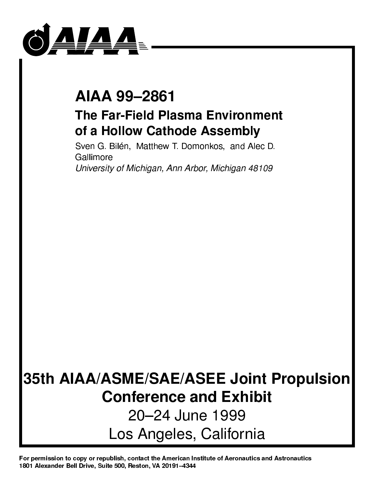

# AIAA 99-2861 AIAA 992861

# **The Far-Field Plasma Environment** The Far-Field Plasma Environment of a Hollow Cathode Assembly

Sven G. Bilén, Matthew T. Domonkos, and Alec D. Gallimore

University of Michigan, Ann Arbor, Michigan 48109

# 35th AIAA/ASME/SAE/ASEE Joint Propulsion **Conference and Exhibit** Conference and Exhibit 20-24 June 1999 2022 June 1999 June 1999 June 1999 June 1999 June 1999 June 1999 June 1999 June 1999 June 1999 June 1999 June 1 Los Angeles, California

For permission to copy or republish, contact the American Institute of Aeronautics and Astronautics 1801 Alexander Bell Drive, Suite 500, Reston, VA 20191-4344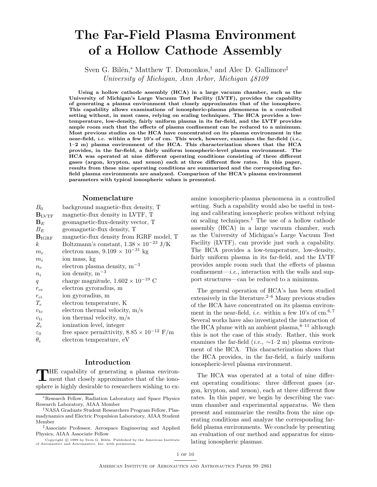# **The Far-Field Plasma Environment of a Hollow Cathode Assembly**

Sven G. Bilén,\* Matthew T. Domonkos,† and Alec D. Gallimore<sup>‡</sup> University of Michigan, Ann Arbor, Michigan 48109

**Using a hollow cathode assembly (HCA) in a large vacuum chamber, such as the University of Michigan's Large Vacuum Test Facility (LVTF), provides the capability of generating a plasma environment that closely approximates that of the ionosphere. This capability allows examinations of ionospheric-plasma phenomena in a controlled setting without, in most cases, relying on scaling techniques. The HCA provides a lowtemperature, low-density, fairly uniform plasma in its far-field, and the LVTF provides ample room such that the effects of plasma confinement can be reduced to a minimum. Most previous studies on the HCA have concentrated on its plasma environment in the near-field,** *i.e.* **within a few 10's of cm. This work, however, examines the far-field (***i.e.***, 1–2 m) plasma environment of the HCA. This characterization shows that the HCA provides, in the far-field, a fairly uniform ionospheric-level plasma environment. The HCA was operated at nine different operating conditions consisting of three different gases (argon, krypton, and xenon) each at three different flow rates. In this paper, results from these nine operating conditions are summarized and the corresponding farfield plasma environments are analyzed. Comparison of the HCA's plasma environment parameters with typical ionospheric values is presented.**

### **Nomenclature**

| $B_0$             | background magnetic-flux density, T                 |
|-------------------|-----------------------------------------------------|
| $B_{\text{LYTF}}$ | magnetic-flux density in LVTF, T                    |
| $\mathbf{B}_E$    | geomagnetic-flux-density vector, T                  |
| $B_E$             | geomagnetic-flux density, T                         |
| $B_{IGRF}$        | magnetic-flux density from IGRF model, T            |
| $k_{\cdot}$       | Boltzmann's constant, $1.38 \times 10^{-23}$ J/K    |
| $m_e$             | electron mass, $9.109\times10^{-31}$ kg             |
| $m_i$             | ion mass, kg                                        |
| $n_e$             | electron plasma density, $m^{-3}$                   |
| $n_i$             | ion density, $m^{-3}$                               |
| q                 | charge magnitude, $1.602 \times 10^{-19}$ C         |
| $r_{ce}$          | electron gyroradius, m                              |
| $r_{ci}$          | ion gyroradius, m                                   |
| $T_e$             | electron temperature, K                             |
| $v_{te}$          | electron thermal velocity, $m/s$                    |
| $v_{ti}$          | ion thermal velocity, $m/s$                         |
| $Z_i$             | ionization level, integer                           |
| $\varepsilon_0$   | free space permittivity, $8.85 \times 10^{-12}$ F/m |
| $\theta_e$        | electron temperature, eV                            |
|                   |                                                     |

# **Introduction**

THE capability of generating a plasma environ-<br>ment that closely approximates that of the ionosphere is highly desirable to researchers wishing to examine ionospheric-plasma phenomena in a controlled setting. Such a capability would also be useful in testing and calibrating ionospheric probes without relying on scaling techniques.<sup>1</sup> The use of a hollow cathode assembly (HCA) in a large vacuum chamber, such as the University of Michigan's Large Vacuum Test Facility (LVTF), can provide just such a capability. The HCA provides a low-temperature, low-density, fairly uniform plasma in its far-field, and the LVTF provides ample room such that the effects of plasma confinement—*i.e.*, interaction with the walls and support structures—can be reduced to a minimum.

The general operation of HCA's has been studied extensively in the literature. $2-6$  Many previous studies of the HCA have concentrated on its plasma environment in the near-field, *i.e.* within a few 10's of  $\text{cm}$ <sup>6,7</sup> Several works have also investigated the interaction of the HCA plume with an ambient plasma, $8-11$  although this is not the case of this study. Rather, this work examines the far-field (*i.e.*,  $\sim$ 1–2 m) plasma environment of the HCA. This characterization shows that the HCA provides, in the far-field, a fairly uniform ionospheric-level plasma environment.

The HCA was operated at a total of nine different operating conditions: three different gases (argon, krypton, and xenon), each at three different flow rates. In this paper, we begin by describing the vacuum chamber and experimental apparatus. We then present and summarize the results from the nine operating conditions and analyze the corresponding farfield plasma environments. We conclude by presenting an evaluation of our method and apparatus for simulating ionospheric plasmas.

<sup>∗</sup>Research Fellow, Radiation Laboratory and Space Physics Research Laboratory, AIAA Member

<sup>†</sup>NASA Graduate Student Researchers Program Fellow, Plasmadynamics and Electric Propulsion Laboratory, AIAA Student Member

<sup>‡</sup>Associate Professor, Aerospace Engineering and Applied Physics, AIAA Associate Fellow

Copyright  $\odot$  1999 by Sven G. Bilén. Published by the American Institute of Aeronautics and Astronautics, Inc. with permission.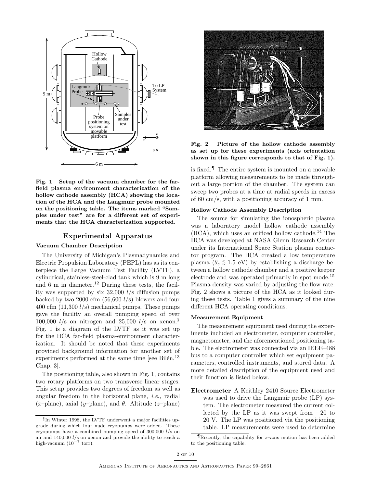

**Fig. 1 Setup of the vacuum chamber for the farfield plasma environment characterization of the hollow cathode assembly (HCA) showing the location of the HCA and the Langmuir probe mounted on the positioning table. The items marked "Samples under test" are for a different set of experiments that the HCA characterization supported.**

# **Experimental Apparatus**

#### **Vacuum Chamber Description**

The University of Michigan's Plasmadynamics and Electric Propulsion Laboratory (PEPL) has as its centerpiece the Large Vacuum Test Facility (LVTF), a cylindrical, stainless-steel-clad tank which is 9 m long and 6 m in diameter.<sup>12</sup> During these tests, the facility was supported by six  $32,000$  l/s diffusion pumps backed by two 2000 cfm  $(56,600 l/s)$  blowers and four 400 cfm  $(11,300 l/s)$  mechanical pumps. These pumps gave the facility an overall pumping speed of over 100,000  $l/s$  on nitrogen and 25,000  $l/s$  on xenon.<sup>§</sup> Fig. 1 is a diagram of the LVTF as it was set up for the HCA far-field plasma-environment characterization. It should be noted that these experiments provided background information for another set of experiments performed at the same time [see Bilén, $^{13}$ ] Chap. 3].

The positioning table, also shown in Fig. 1, contains two rotary platforms on two transverse linear stages. This setup provides two degrees of freedom as well as angular freedom in the horizontal plane, i.e., radial (x–plane), axial (y–plane), and  $\theta$ . Altitude (z–plane)



**Fig. 2 Picture of the hollow cathode assembly as set up for these experiments (axis orientation shown in this figure corresponds to that of Fig. 1).**

is fixed.¶ The entire system is mounted on a movable platform allowing measurements to be made throughout a large portion of the chamber. The system can sweep two probes at a time at radial speeds in excess of 60 cm/s, with a positioning accuracy of 1 mm.

## **Hollow Cathode Assembly Description**

The source for simulating the ionospheric plasma was a laboratory model hollow cathode assembly  $(HCA)$ , which uses an orificed hollow cathode.<sup>14</sup> The HCA was developed at NASA Glenn Research Center under its International Space Station plasma contactor program. The HCA created a low temperature plasma ( $\theta_e \lesssim 1.5$  eV) by establishing a discharge between a hollow cathode chamber and a positive keeper electrode and was operated primarily in spot mode.<sup>15</sup> Plasma density was varied by adjusting the flow rate. Fig. 2 shows a picture of the HCA as it looked during these tests. Table 1 gives a summary of the nine different HCA operating conditions.

#### **Measurement Equipment**

The measurement equipment used during the experiments included an electrometer, computer controller, magnetometer, and the aforementioned positioning table. The electrometer was connected via an IEEE–488 bus to a computer controller which set equipment parameters, controlled instruments, and stored data. A more detailed description of the equipment used and their function is listed below.

**Electrometer** A Keithley 2410 Source Electrometer was used to drive the Langmuir probe (LP) system. The electrometer measured the current collected by the LP as it was swept from  $-20$  to 20 V. The LP was positioned via the positioning table. LP measurements were used to determine

<sup>§</sup>In Winter 1998, the LVTF underwent a major facilities upgrade during which four nude cryopumps were added. These cryopumps have a combined pumping speed of 300,000 l/s on air and 140,000 l/s on xenon and provide the ability to reach a high-vacuum ( $10^{-7}$  torr).

**T**Recently, the capability for  $z$ -axis motion has been added to the positioning table.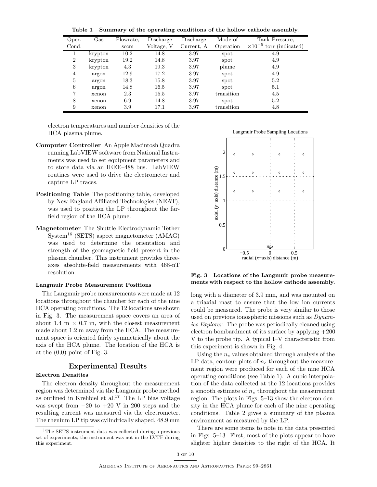**Table 1 Summary of the operating conditions of the hollow cathode assembly.**

| Oper.          | $\operatorname{Gas}$ | Flowrate, | Discharge  | Discharge  | Mode of    | Tank Pressure,                       |
|----------------|----------------------|-----------|------------|------------|------------|--------------------------------------|
| Cond.          |                      | sccm      | Voltage, V | Current, A | Operation  | $\times 10^{-5}$<br>torr (indicated) |
|                | krypton              | 10.2      | 14.8       | 3.97       | spot       | 4.9                                  |
| $\overline{2}$ | krypton              | 19.2      | 14.8       | 3.97       | spot       | 4.9                                  |
| 3              | krypton              | 4.3       | 19.3       | 3.97       | plume      | 4.9                                  |
| 4              | argon                | 12.9      | 17.2       | 3.97       | spot       | 4.9                                  |
| 5              | argon                | 18.3      | 15.8       | 3.97       | spot       | 5.2                                  |
| 6              | argon                | 14.8      | 16.5       | 3.97       | spot       | 5.1                                  |
| 7              | xenon                | 2.3       | 15.5       | 3.97       | transition | 4.5                                  |
| 8              | xenon                | 6.9       | 14.8       | 3.97       | spot       | 5.2                                  |
| 9              | xenon                | 3.9       | 17.1       | 3.97       | transition | 4.8                                  |

electron temperatures and number densities of the HCA plasma plume.

- **Computer Controller** An Apple Macintosh Quadra running LabVIEW software from National Instruments was used to set equipment parameters and to store data via an IEEE–488 bus. LabVIEW routines were used to drive the electrometer and capture LP traces.
- **Positioning Table** The positioning table, developed by New England Affiliated Technologies (NEAT), was used to position the LP throughout the farfield region of the HCA plume.
- **Magnetometer** The Shuttle Electrodynamic Tether  $S<sub>V</sub>stem<sup>16</sup> (SETS) aspect magnetometer (AMAG)$ was used to determine the orientation and strength of the geomagnetic field present in the plasma chamber. This instrument provides threeaxes absolute-field measurements with 468-nT resolution.

#### **Langmuir Probe Measurement Positions**

The Langmuir probe measurements were made at 12 locations throughout the chamber for each of the nine HCA operating conditions. The 12 locations are shown in Fig. 3. The measurement space covers an area of about 1.4 m  $\times$  0.7 m, with the closest measurement made about 1.2 m away from the HCA. The measurement space is oriented fairly symmetrically about the axis of the HCA plume. The location of the HCA is at the  $(0,0)$  point of Fig. 3.

### **Experimental Results**

# **Electron Densities**

The electron density throughout the measurement region was determined via the Langmuir probe method as outlined in Krehbiel et al.<sup>17</sup> The LP bias voltage was swept from  $-20$  to  $+20$  V in 200 steps and the resulting current was measured via the electrometer. The rhenium LP tip was cylindrically shaped, 48.9 mm





**Fig. 3 Locations of the Langmuir probe measurements with respect to the hollow cathode assembly.**

long with a diameter of 3.9 mm, and was mounted on a triaxial mast to ensure that the low ion currents could be measured. The probe is very similar to those used on previous ionospheric missions such as Dynamics Explorer. The probe was periodically cleaned using electron bombardment of its surface by applying +200 V to the probe tip. A typical I–V characteristic from this experiment is shown in Fig. 4.

Using the  $n_e$  values obtained through analysis of the LP data, contour plots of  $n_e$  throughout the measurement region were produced for each of the nine HCA operating conditions (see Table 1). A cubic interpolation of the data collected at the 12 locations provides a smooth estimate of  $n_e$  throughout the measurement region. The plots in Figs. 5–13 show the electron density in the HCA plume for each of the nine operating conditions. Table 2 gives a summary of the plasma environment as measured by the LP.

There are some items to note in the data presented in Figs. 5–13. First, most of the plots appear to have slighter higher densities to the right of the HCA. It

 $\Vert$ The SETS instrument data was collected during a previous set of experiments; the instrument was not in the LVTF during this experiment.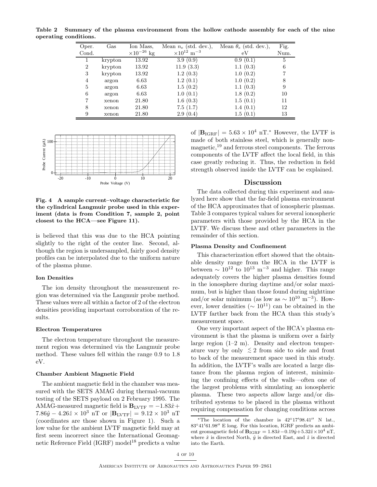**Table 2 Summary of the plasma environment from the hollow cathode assembly for each of the nine operating conditions.**

| Oper.          | $\rm Gas$ | Ion Mass,            | Mean $n_e$ (std. dev.),       | Mean $\theta_e$ (std. dev.), | Fig. |
|----------------|-----------|----------------------|-------------------------------|------------------------------|------|
| Cond.          |           | $\times 10^{-26}$ kg | $\times 10^{12}~{\rm m}^{-3}$ | еV                           | Num. |
|                | krypton   | 13.92                | 3.9(0.9)                      | 0.9(0.1)                     | 5    |
| $\overline{2}$ | krypton   | 13.92                | 11.9(3.3)                     | 1.1(0.3)                     | 6    |
| 3              | krypton   | 13.92                | 1.2(0.3)                      | 1.0(0.2)                     |      |
| 4              | argon     | 6.63                 | 1.2(0.1)                      | 1.0(0.2)                     |      |
| 5              | argon     | 6.63                 | 1.5(0.2)                      | 1.1(0.3)                     | 9    |
| 6              | argon     | 6.63                 | 1.0(0.1)                      | 1.8(0.2)                     | 10   |
|                | xenon     | 21.80                | 1.6(0.3)                      | 1.5(0.1)                     | 11   |
| 8              | xenon     | 21.80                | 7.5(1.7)                      | 1.4(0.1)                     | 12   |
| 9              | xenon     | 21.80                | 2.9(0.4)                      | 1.5(0.1)                     | 13   |



**Fig. 4 A sample current–voltage characteristic for the cylindrical Langmuir probe used in this experiment (data is from Condition 7, sample 2, point closest to the HCA—see Figure 11).**

is believed that this was due to the HCA pointing slightly to the right of the center line. Second, although the region is undersampled, fairly good density profiles can be interpolated due to the uniform nature of the plasma plume.

# **Ion Densities**

The ion density throughout the measurement region was determined via the Langmuir probe method. These values were all within a factor of 2 of the electron densities providing important corroboration of the results.

#### **Electron Temperatures**

The electron temperature throughout the measurement region was determined via the Langmuir probe method. These values fell within the range 0.9 to 1.8 eV.

#### **Chamber Ambient Magnetic Field**

The ambient magnetic field in the chamber was measured with the SETS AMAG during thermal-vacuum testing of the SETS payload on 2 February 1995. The AMAG-measured magnetic field is  $B_{\text{LVTF}} = -1.83\hat{x} +$ 7.86 $\hat{y}$  – 4.26 $\hat{z} \times 10^3$  nT or  $|\mathbf{B}_{\text{LVTF}}| = 9.12 \times 10^3$  nT (coordinates are those shown in Figure 1). Such a low value for the ambient LVTF magnetic field may at first seem incorrect since the International Geomagnetic Reference Field (IGRF) model<sup>18</sup> predicts a value of  $|\mathbf{B}_{\text{IGRF}}| = 5.63 \times 10^4 \text{ nT}^*$  However, the LVTF is made of both stainless steel, which is generally nonmagnetic, $19$  and ferrous steel components. The ferrous components of the LVTF affect the local field, in this case greatly reducing it. Thus, the reduction in field strength observed inside the LVTF can be explained.

# **Discussion**

The data collected during this experiment and analyzed here show that the far-field plasma environment of the HCA approximates that of ionospheric plasmas. Table 3 compares typical values for several ionospheric parameters with those provided by the HCA in the LVTF. We discuss these and other parameters in the remainder of this section.

#### **Plasma Density and Confinement**

This characterization effort showed that the obtainable density range from the HCA in the LVTF is between  $\sim 10^{12}$  to  $10^{13}$  m<sup>-3</sup> and higher. This range adequately covers the higher plasma densities found in the ionosphere during daytime and/or solar maximum, but is higher than those found during nighttime and/or solar minimum (as low as  $\sim 10^{10}$  m<sup>-3</sup>). However, lower densities ( $\sim 10^{11}$ ) can be obtained in the LVTF farther back from the HCA than this study's measurement space.

One very important aspect of the HCA's plasma environment is that the plasma is uniform over a fairly large region  $(1-2 \text{ m})$ . Density and electron temperature vary by only  $\leq 2$  from side to side and front to back of the measurement space used in this study. In addition, the LVTF's walls are located a large distance from the plasma region of interest, minimizing the confining effects of the walls—often one of the largest problems with simulating an ionospheric plasma. These two aspects allow large and/or distributed systems to be placed in the plasma without requiring compensation for changing conditions across

<sup>\*</sup>The location of the chamber is  $42°17'98.41''$  N lat.,  $83^{\circ}41'61.98''$  E long. For this location, IGRF predicts an ambient geomagnetic field of  $\mathbf{B}_{IGRF} = 1.83\hat{x} - 0.19\hat{y} + 5.32\hat{z} \times 10^4$  nT, where  $\hat{x}$  is directed North,  $\hat{y}$  is directed East, and  $\hat{z}$  is directed into the Earth.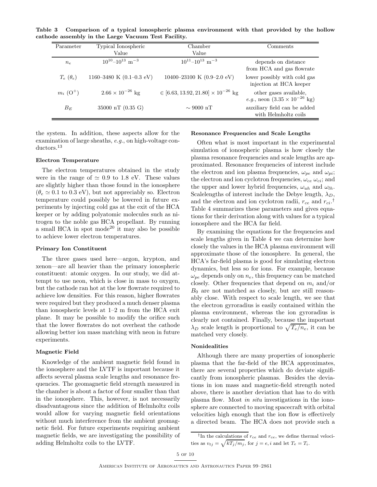**Table 3 Comparison of a typical ionospheric plasma environment with that provided by the hollow cathode assembly in the Large Vacuum Test Facility.**

| Parameter               | Typical Ionospheric<br>Value        | Chamber<br>Value                              | Comments                                                                         |
|-------------------------|-------------------------------------|-----------------------------------------------|----------------------------------------------------------------------------------|
| $n_e$                   | $10^{10} - 10^{13}$ m <sup>-3</sup> | $10^{11} - 10^{13}$ m <sup>-3</sup>           | depends on distance<br>from HCA and gas flowrate                                 |
| $T_e$ ( $\theta_e$ )    | 1160-3480 K $(0.1-0.3$ eV)          | 10400-23100 K $(0.9-2.0 \text{ eV})$          | lower possibly with cold gas<br>injection at HCA keeper                          |
| $m_i$ (O <sup>+</sup> ) | $2.66 \times 10^{-26}$ kg           | $\in [6.63, 13.92, 21.80] \times 10^{-26}$ kg | other gases available,<br><i>e.g.</i> , neon $(3.35 \times 10^{-26} \text{ kg})$ |
| $B_E$                   | 35000 nT $(0.35 \text{ G})$         | $\sim$ 9000 nT                                | auxiliary field can be added<br>with Helmholtz coils                             |

the system. In addition, these aspects allow for the examination of large sheaths, e.g., on high-voltage conductors.<sup>13</sup>

#### **Electron Temperature**

The electron temperatures obtained in the study were in the range of  $\simeq 0.9$  to 1.8 eV. These values are slightly higher than those found in the ionosphere  $(\theta_e \simeq 0.1$  to 0.3 eV), but not appreciably so. Electron temperature could possibly be lowered in future experiments by injecting cold gas at the exit of the HCA keeper or by adding polyatomic molecules such as nitrogen to the noble gas HCA propellant. By running a small HCA in spot mode<sup>20</sup> it may also be possible to achieve lower electron temperatures.

#### **Primary Ion Constituent**

The three gases used here—argon, krypton, and xenon—are all heavier than the primary ionospheric constituent: atomic oxygen. In our study, we did attempt to use neon, which is close in mass to oxygen, but the cathode ran hot at the low flowrate required to achieve low densities. For this reason, higher flowrates were required but they produced a much denser plasma than ionospheric levels at 1–2 m from the HCA exit plane. It may be possible to modify the orifice such that the lower flowrates do not overheat the cathode allowing better ion mass matching with neon in future experiments.

#### **Magnetic Field**

Knowledge of the ambient magnetic field found in the ionosphere and the LVTF is important because it affects several plasma scale lengths and resonance frequencies. The geomagnetic field strength measured in the chamber is about a factor of four smaller than that in the ionosphere. This, however, is not necessarily disadvantageous since the addition of Helmholtz coils would allow for varying magnetic field orientations without much interference from the ambient geomagnetic field. For future experiments requiring ambient magnetic fields, we are investigating the possibility of adding Helmholtz coils to the LVTF.

#### **Resonance Frequencies and Scale Lengths**

Often what is most important in the experimental simulation of ionospheric plasma is how closely the plasma resonance frequencies and scale lengths are approximated. Resonance frequencies of interest include the electron and ion plasma frequencies,  $\omega_{pe}$  and  $\omega_{pi}$ ; the electron and ion cyclotron frequencies,  $\omega_{ce} \omega_{ci}$ ; and the upper and lower hybrid frequencies,  $\omega_{uh}$  and  $\omega_{lh}$ . Scalelengths of interest include the Debye length,  $\lambda_D$ , and the electron and ion cyclotron radii,  $r_{ce}$  and  $r_{ci}$ .<sup>†</sup> Table 4 summarizes these parameters and gives equations for their derivation along with values for a typical ionosphere and the HCA far field.

By examining the equations for the frequencies and scale lengths given in Table 4 we can determine how closely the values in the HCA plasma environment will approximate those of the ionosphere. In general, the HCA's far-field plasma is good for simulating electron dynamics, but less so for ions. For example, because  $\omega_{pe}$  depends only on  $n_e$ , this frequency can be matched closely. Other frequencies that depend on  $m_i$  and/or  $B_0$  are not matched as closely, but are still reasonably close. With respect to scale length, we see that the electron gyroradius is easily contained within the plasma environment, whereas the ion gyroradius is clearly not contained. Finally, because the important  $\lambda_D$  scale length is proportional to  $\sqrt{T_e/n_e}$ , it can be matched very closely.

#### **Nonidealities**

Although there are many properties of ionospheric plasma that the far-field of the HCA approximates, there are several properties which do deviate significantly from ionospheric plasmas. Besides the deviations in ion mass and magnetic-field strength noted above, there is another deviation that has to do with plasma flow. Most in situ investigations in the ionosphere are connected to moving spacecraft with orbital velocities high enough that the ion flow is effectively a directed beam. The HCA does not provide such a

<sup>&</sup>lt;sup>†</sup>In the calculations of  $r_{ce}$  and  $r_{ce}$ , we define thermal velocities as  $v_{tj} = \sqrt{kT_j/m_j}$ , for  $j = e, i$  and let  $T_e = T_i$ .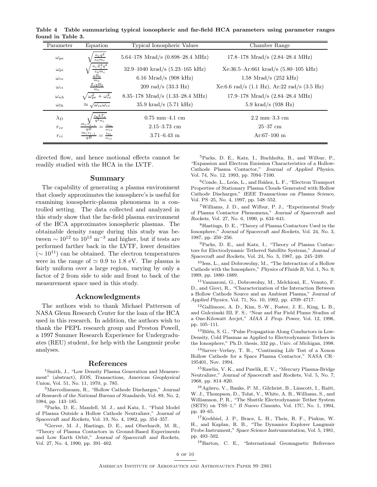**Table 4 Table summarizing typical ionospheric and far-field HCA parameters using parameter ranges found in Table 3.**

| Parameter     | Typical Ionospheric Values<br>Equation                    |                                            | Chamber Range                                                    |  |
|---------------|-----------------------------------------------------------|--------------------------------------------|------------------------------------------------------------------|--|
| $\omega_{pe}$ | $n_e q^2$<br>$\varepsilon_0 m_e$                          | 5.64–178 Mrad/s $(0.898-28.4 \text{ MHz})$ | 17.8–178 Mrad/s $(2.84-28.4 \text{ MHz})$                        |  |
| $\omega_{pi}$ | $n_i Z_i^2 q^2$<br>$\varepsilon_0 m_i$                    | 32.9-1040 krad/s $(5.23-165 \text{ kHz})$  | $Xe:36.5-Ar:661$ krad/s $(5.80-105$ kHz)                         |  |
| $\omega_{ce}$ | $qB_0$<br>$m_e$                                           | 6.16 Mrad/s $(908 \text{ kHz})$            | $1.58 \text{ Mrad/s}$ (252 kHz)                                  |  |
| $\omega_{ci}$ | $Z_i q B_0$<br>m <sub>i</sub>                             | $209 \text{ rad/s}$ (33.3 Hz)              | Xe:6.6 rad/s $(1.1 \text{ Hz})$ , Ar:22 rad/s $(3.5 \text{ Hz})$ |  |
| $\omega_{uh}$ | $\sqrt{\omega_{pe}^2 + \omega_{ce}^2}$                    | 8.35–178 Mrad/s $(1.33–28.4 \text{ MHz})$  | 17.9–178 Mrad/s $(2.84-28.4 \text{ MHz})$                        |  |
| $\omega_{lh}$ | $\approx \sqrt{\omega_{ce} \omega_{ci}}$                  | 35.9 krad/s $(5.71 \text{ kHz})$           | 5.9 krad/s $(938 \text{ Hz})$                                    |  |
| $\lambda_D$   | $\varepsilon_0 kT_e$                                      | $0.75$ mm $-4.1$ cm                        | $2.2 \text{ mm} - 3.3 \text{ cm}$                                |  |
| $r_{ce}$      | $m_e\,v_e$<br>$v_{te}$<br>$\overline{a}$<br>$\omega_{ce}$ | $2.15 - 3.73$ cm                           | $25 - 37$ cm                                                     |  |
| $r_{ci}$      | $m_i v_{i, \perp}$<br>$v_{ti}$<br>qB<br>$\omega_{ci}$     | $3.71 - 6.43$ m                            | $Ar:67-100$ m                                                    |  |

directed flow, and hence motional effects cannot be readily studied with the HCA in the LVTF.

#### **Summary**

The capability of generating a plasma environment that closely approximates the ionosphere's is useful for examining ionospheric-plasma phenomena in a controlled setting. The data collected and analyzed in this study show that the far-field plasma environment of the HCA approximates ionospheric plasmas. The obtainable density range during this study was between  $\sim 10^{12}$  to  $10^{13}$  m<sup>-3</sup> and higher, but if tests are performed farther back in the LVTF, lower densities  $({\sim 10^{11}})$  can be obtained. The electron temperatures were in the range of  $\simeq 0.9$  to 1.8 eV. The plasma is fairly uniform over a large region, varying by only a factor of 2 from side to side and front to back of the measurement space used in this study.

# **Acknowledgments**

The authors wish to thank Michael Patterson of NASA Glenn Research Center for the loan of the HCA used in this research. In addition, the authors wish to thank the PEPL research group and Preston Powell, a 1997 Summer Research Experience for Undergraduates (REU) student, for help with the Langmuir probe analyses.

#### **References**

<sup>1</sup>Smith, J., "Low Density Plasma Generation and Measurement" (abstract), *EOS, Transactions, American Geophysical Union*, Vol. 51, No. 11, 1970, p. 785.

<sup>2</sup>Mavrodineanu, R., "Hollow Cathode Discharges," *Journal of Research of the National Bureau of Standards*, Vol. 89, No. 2, 1984, pp. 143–185.

<sup>3</sup>Parks, D. E., Mandell, M. J., and Katz, I., "Fluid Model of Plasma Outside a Hollow Cathode Neutralizer," *Journal of Spacecraft and Rockets*, Vol. 19, No. 4, 1982, pp. 354–357.

<sup>4</sup>Gerver, M. J., Hastings, D. E., and Oberhardt, M. R., "Theory of Plasma Contactors in Ground-Based Experiments and Low Earth Orbit," *Journal of Spacecraft and Rockets*, Vol. 27, No. 4, 1990, pp. 391–402.

<sup>5</sup>Parks, D. E., Katz, I., Buchholtz, B., and Wilbur, P., "Expansion and Electron Emission Characteristics of a Hollow-Cathode Plasma Contactor," *Journal of Applied Physics*, Vol. 74, No. 12, 1993, pp. 7094–7100.

<sup>6</sup>Conde, L., León, L., and Ibáñez, L. F., "Electron Transport Properties of Stationary Plasma Clouds Generated with Hollow Cathode Discharges," *IEEE Transactions on Plasma Science*, Vol. PS–25, No. 4, 1997, pp. 548–552.

<sup>7</sup>Williams, J. D., and Wilbur, P. J., "Experimental Study of Plasma Contactor Phenomena," *Journal of Spacecraft and Rockets*, Vol. 27, No. 6, 1990, p. 634–641.

<sup>8</sup>Hastings, D. E., "Theory of Plasma Contactors Used in the Ionosphere," *Journal of Spacecraft and Rockets*, Vol. 24, No. 3, 1987, pp. 250–256.

<sup>9</sup>Parks, D. E., and Katz, I., "Theory of Plasma Contactors for Electrodynamic Tethered Satellite Systems," *Journal of Spacecraft and Rockets*, Vol. 24, No. 3, 1987, pp. 245–249.

<sup>10</sup>Iess, L., and Dobrowolny, M., "The Interaction of a Hollow Cathode with the Ionosphere," *Physics of Fluids B*, Vol. 1, No. 9, 1989, pp. 1880–1889.

<sup>11</sup>Vannaroni, G., Dobrowolny, M., Melchioni, E., Venuto, F. D., and Giovi, R., "Characterization of the Interaction Between a Hollow Cathode Source and an Ambient Plasma," *Journal of Applied Physics*, Vol. 71, No. 10, 1992, pp. 4709–4717.

 $12$ Gallimore, A. D., Kim, S.-W., Foster, J. E., King, L. B., and Gulczinski III, F. S., "Near and Far Field Plume Studies of a One-Kilowatt Arcjet," *AIAA J. Prop. Power*, Vol. 12, 1996, pp. 105–111.

 $^{13}$ Bilén, S. G., "Pulse Propagation Along Conductors in Low-Density, Cold Plasmas as Applied to Electrodynamic Tethers in the Ionosphere," Ph.D. thesis, 332 pp., Univ. of Michigan, 1998.

<sup>14</sup>Sarver–Verhey, T. R., "Continuing Life Test of a Xenon Hollow Cathode for a Space Plasma Contactor," NASA CR– 195401, Nov. 1994.

<sup>15</sup>Rawlin, V. K., and Pawlik, E. V., "Mercury Plasma-Bridge Neutralizer," *Journal of Spacecraft and Rockets*, Vol. 5, No. 7, 1968, pp. 814–820.

<sup>16</sup>Agüero, V., Banks, P. M., Gilchrist, B., Linscott, I., Raitt, W. J., Thompson, D., Tolat, V., White, A. B., Williams, S., and Williamson, P. R., "The Shuttle Electrodynamic Tether System (SETS) on TSS–1," *Il Nuovo Cimento*, Vol. 17C, No. 1, 1994, pp. 49–65.

<sup>17</sup>Krehbiel, J. P., Brace, L. H., Theis, R. F., Pinkus, W. H., and Kaplan, R. B., "The Dynamics Explorer Langmuir Probe Instrument," *Space Science Instrumentation*, Vol. 5, 1981, pp. 493–502.

<sup>18</sup>Barton, C. E., "International Geomagnetic Reference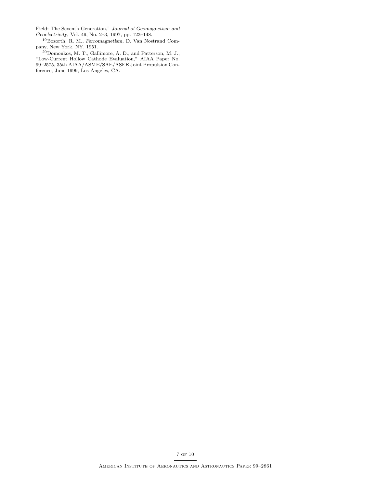Field: The Seventh Generation," *Journal of Geomagnetism and Geoelectricity*, Vol. 49, No. 2–3, 1997, pp. 123–148.

<sup>19</sup>Bozorth, R. M., *Ferromagnetism*, D. Van Nostrand Company, New York, NY, 1951.

<sup>20</sup>Domonkos, M. T., Gallimore, A. D., and Patterson, M. J., "Low-Current Hollow Cathode Evaluation," AIAA Paper No. 99–2575, 35th AIAA/ASME/SAE/ASEE Joint Propulsion Conference, June 1999, Los Angeles, CA.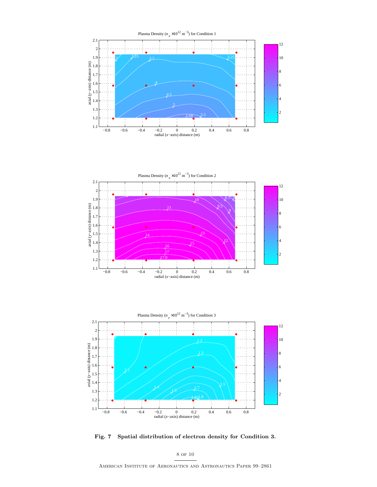





**Fig. 7 Spatial distribution of electron density for Condition 3.**

8 of 10

American Institute of Aeronautics and Astronautics Paper 99–2861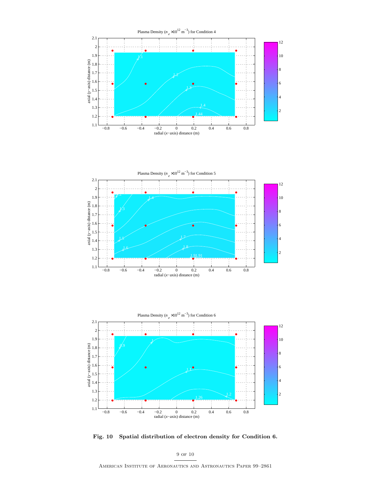





**Fig. 10 Spatial distribution of electron density for Condition 6.**

9 of 10